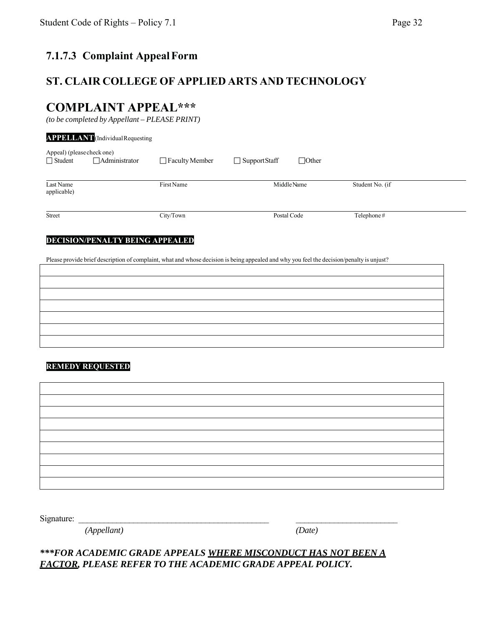## **7.1.7.3 Complaint Appeal Form**

### **ST. CLAIR COLLEGE OF APPLIED ARTS AND TECHNOLOGY**

# **COMPLAINT APPEAL\*\*\***

*(to be completed by Appellant – PLEASE PRINT)*

|                                              | <b>APPELLANT</b> (Individual Requesting |                                                                                                                                           |                |              |                 |  |  |
|----------------------------------------------|-----------------------------------------|-------------------------------------------------------------------------------------------------------------------------------------------|----------------|--------------|-----------------|--|--|
| Appeal) (please check one)<br>$\Box$ Student | <b>Administrator</b>                    | $\Box$ Faculty Member                                                                                                                     | □ SupportStaff | $\Box$ Other |                 |  |  |
| Last Name<br>applicable)                     |                                         | First Name                                                                                                                                |                | Middle Name  | Student No. (if |  |  |
| Street                                       |                                         | City/Town                                                                                                                                 |                | Postal Code  | Telephone#      |  |  |
|                                              | <b>DECISION/PENALTY BEING APPEALED</b>  | Please provide brief description of complaint, what and whose decision is being appealed and why you feel the decision/penalty is unjust? |                |              |                 |  |  |
|                                              |                                         |                                                                                                                                           |                |              |                 |  |  |
| <b>REMEDY REQUESTED</b>                      |                                         |                                                                                                                                           |                |              |                 |  |  |
|                                              |                                         |                                                                                                                                           |                |              |                 |  |  |

Signature:

*(Appellant) (Date)*

*\*\*\*FOR ACADEMIC GRADE APPEALS WHERE MISCONDUCT HAS NOT BEEN A FACTOR, PLEASE REFER TO THE ACADEMIC GRADE APPEAL POLICY.*